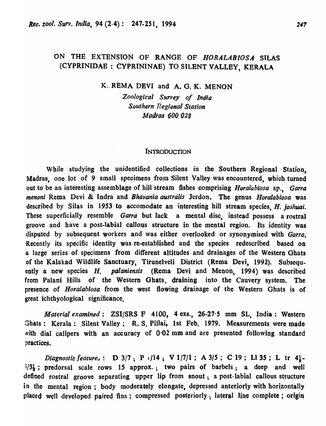## ON THE EXTENSION OF RANGE OF *HORALABIOSA* SILAS (CYPRINIDAE: CYPRININAE) TO SILENT VALLEY, KERALA

## K. REMA DEVI and A. G. K. MENON

*Zoological Survey of India Southern Regional Station Madras 600 028* 

#### **INTRODUCTION**

While studying the unidentified collections in the Southern Regional Station, Madras, one lot of 9 small specimens from Silent Valley was encountered, which turned out to be an interesting assemblage of hill stream fishes comprising *Horalabiosa* sp., Garra *menon;* Rema Devi & Indra and *Bhavania australis* Jerdon. The genus *Horalabiosa* was described by Silas in 1953 to accomodate an interesting hill stream species, *H. joshuai.*  These superficially resemble *Garra* but lack a mental disc, instead possess a rostral groove and have a post-labial callous structure in the mental region. Its identity was disputed by subsequent workers and was either overlooked or synonymised with *Garro.*  Recently its specific identity was re-established and the species redescribed based on a large series of specimens from different altitudes and drainages of the Western Ghats of the Kalakad Wildlife Sanctuary, Tirunelveli District (Rema Devi, 1992). Subsequently a new species *H. pal aniensis* (Rema Devi and Menon, 1994) was described from Palani Hills of the Western Ghats, draining into the Cauvery system. The presence of *Horalabiosa* from the west flowing drainage of the Western Ghats is of great ichthyological significance.

*Material examined:* ZSI/SRS F 4100, 4 exs., 26-27'5 mm SL, India: Western Ghats: Kerala: Silent Valley; R. S. Pillai, 1st Feb. 1979. Measurements were made with dial calipers with an accuracy of  $0.02$  mm and are presented following standard practices.

Diagnostic feature<sub>s</sub>: D 3/7; P <sup>1</sup>/14; V 1/7/1; A 3/5; C 19; L1 35; L tr 4} $i/3\frac{1}{3}$ ; predorsal scale rows 15 approx.; two pairs of barbels; a deep and well defined rostral groove separating upper lip from snout; a post-labial callous structure in the mental region; body moderately elongate, depressed anteriorly with horizontally placed well developed paired fins; compressed posteriorly; lateral line complete; origin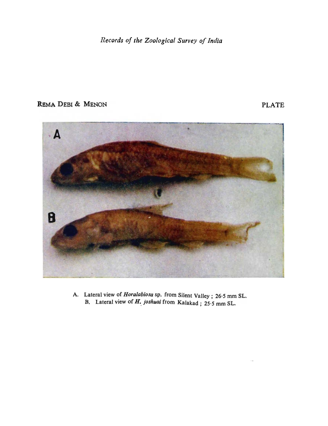Records of the Zoological Survey of India

# REMA DEBI & MENON PLATE



A. Lateral view of *Horalabiosa* sp. from Silent Valley; 26.5 mm SL. B. Lateral view of *H. joshuai* from Kalakad; 25.5 mm SL.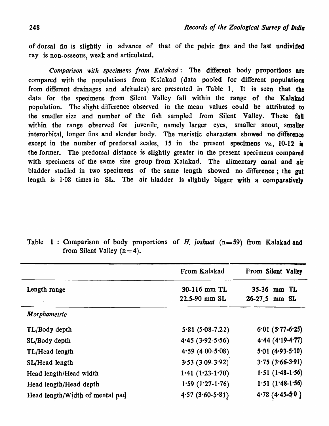of dorsal fin is slightly in advance of that of the pelvic fins and the last undivided ray is non-osseous, weak and articulated.

*Comparison with specimens from Kalakad:* The different body proportions are compared with the populations from Kalakad (data pooled for different populations from different drainages and altitudes) are presented in Table 1. It is seen that the data for the specimens from Silent Valley fall within the range of the Kalakad population. The slight difference observed in the mean values could be attributed to the smaller size and number of the fish sampled from Silent Valley. These fall within the range observed for juvenile, namely larger eyes, smaller snout, smaller interorbital, longer fins and slender body. The meristic characters showed no difference except in the number of predorsal scales,  $15$  in the present specimens vs.  $10-12$  is the former. The predorsal distance is slightly greater in the present specimens compared with specimens of the same size group from Kalakad. The alimentary canal and air bladder studied in two specimens of the same length showed no difference; the gut length is 1·0S times in SL. The air bladder is slightly bigger with a comparatively

|                                 | From Kalakad      | From Silent Valley |
|---------------------------------|-------------------|--------------------|
| Length range                    | 30-116 mm TL      | 35-36 mm TL        |
|                                 | 22.5-90 mm SL     | $26-27.5$ mm SL    |
| Morphometric                    |                   |                    |
| TL/Body depth                   | $5.81(5.08-7.22)$ | $6.01(5.77-6.25)$  |
| SL/Body depth                   | $4.45(3.92-5.56)$ | $4.44(4.19-4.77)$  |
| TL/Head length                  | 4.59 (4.00-5.08)  | $5.01(4.93-5.10)$  |
| SL/Head length                  | $3.53(3.09-3.92)$ | $3.75(3.66-3.91)$  |
| Head length/Head width          | $1.41(1.23-1.70)$ | $1.51(1.48-1.56)$  |
| Head length/Head depth          | $1.59(1.27-1.76)$ | $1.51$ (1.48-1.56) |
| Head length/Width of mental pad | 4.57(3.60.5.81)   | $4.78$ (4.45-5.0)  |

Table 1: Comparison of body proportions of *H. joshuai* (n=59) from Kalakad and from Silent Valley  $(n=4)$ .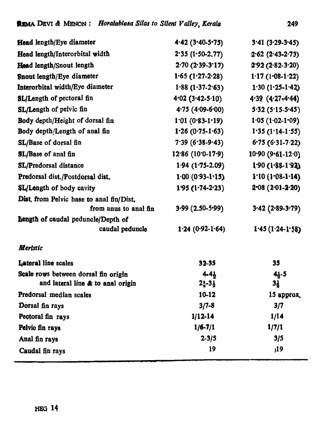| Head length/Eye diameter                 | $4.42$ (3.40-5.75)          | $3.41(3.29-3.45)$      |
|------------------------------------------|-----------------------------|------------------------|
| Head length/Interorbital width           | $2.35(1.50-2.77)$           | $2.62$ (2.43-2.73)     |
| Head length/Snout length                 | $2.70(2.39-3.17)$           | $2.92(2.82-3.20)$      |
| Snout length/Eye diameter                | $1.65(1.27-2.28)$           | $1.17(1.08-1.22)$      |
| Interorbital width/Eye diameter          | $1.88(1.37-2.63)$           | $1.30(1.25-1.42)$      |
| <b>SL/Length of pectoral fin</b>         | $4.02$ (3.42-5.10)          | $4.39$ $(4.27 - 4.44)$ |
| SL/Length of pelvic fin                  | $4.75(4.09-6.00)$           | $5.32(5.15-5.45)$      |
| Body depth/Height of dorsal fin          | $1.01 (0.83 - 1.19)$        | $1.05(1.02-1.09)$      |
| Body depth/Length of anal fin            | $1.26 (0.75 - 1.63)$        | $1.35(1.14-1.55)$      |
| SL/Base of dorsal fin                    | $7.39(6.38-9.43)$           | $6.75(6.31-7.22)$      |
| SL/Base of anal fin                      | $12.86(10.0-17.9)$          | $10.90(9.61-12.0)$     |
| SL/Predorsal distance                    | $1.94$ (1.75-2.09)          | $1.90(1.88-1.92)$      |
| Predorsal dist./Postdorsal dist.         | $1.00(0.93-1.15)$           | $1.10 (1.08 - 1.14)$   |
| <b>SL/Length of body cavity</b>          | $195(1.74-2.23)$            | $2.08(2.01-2.20)$      |
| Dist, from Pelvic base to anal fin/Dist. |                             |                        |
| from anus to anal fin                    | $3.99(2.50-5.99)$           | $3.42$ (2.89-3.79)     |
| Bength of caudal peduncle/Depth of       |                             |                        |
| caudal peduncle                          | $1.24(0.92-1.64)$           | $1.45(1.24-1.58)$      |
| <b>Meristic</b>                          |                             |                        |
| Lateral line scales                      | $32 - 35$                   | 35                     |
| Scale rows between dorsal fin origin     | $4 - 4 +$                   | 41-5                   |
| and lateral line & to anal origin        | $2\frac{1}{2}-3\frac{1}{2}$ | $3\frac{1}{2}$         |
| Predorsal median scales                  | 10-12                       | 15 approx.             |
| Dorsal fin rays                          | $3/7 - 8$                   | 3/7                    |
| Pectoral fin rays                        | $1/12 - 14$                 | 1/14                   |
| Pelvic fin rays                          | $1/6 - 7/1$                 | 1/7/1                  |
| Anal fin rays                            | $2 - 3/5$                   | 3/5                    |
| Caudal fin rays                          | 19                          | 19,                    |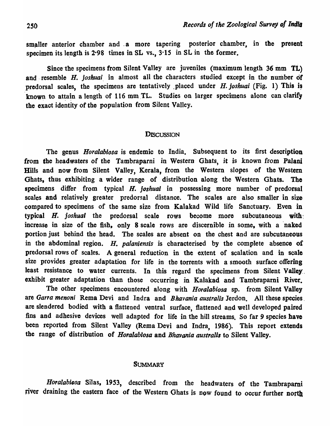smaller anterior chamber and a more tapering posterior chamber, in the present specimen its length is 2.98 times in SL vs.,  $3.15$  in SL in the former.

Since the specimens from Silent Valley are juveniles (maximum length  $36 \text{ mm}$  TL) and resemble H. *joshuai* in almost all the characters studied except in the number of predorsal scales, the specimens are tentatively placed under  $H$ . *joshuai* (Fig. 1) This is known to attain a length of 116 mm TL. Studies on larger specimens alone can clarify the exact identity of the population from Silent Valley.

#### **DISCUSSION**

The genus *Horalabiosa* is endemic to India. Subsequent to its first description from the headwaters of the Tambraparni in Western Ghats, it is known from Palani Hills and now from Silent Valley, Kerala, from the Western slopes of the Western Ghats, thus exhibiting a wider range of distribution along the Western Ghats. The specimens differ from typical H. *joshuai* in possessing more number of predorsal scales and relatively greater predorsal distance. The scales are also smaller in size compared to specimens of the same size from Kalakad Wild life Sanctuary. Even in typical H. *joshual* the predorsal scale rows become more subcutaneous with: increase in size of the fish, only 8 scale rows are discernible in some, with a 'naked portion just behind the head. The scales are absent on the chest and are subcutaneous in the abdominal region. H. *palaniensis* is characterised by the complete absence of predorsal rows of scales. A general reduction in the extent of scalation and in scale size provides greater adaptation for life in the torrents with a smooth surface offering least resistance to water currents. In this regard the specimens from Silent Valley. exhibit greater adaptation than those occurring in Kalakad and Tambraparni River.

The other specimens encountered along with *Horalabiosa* sp. from Silent Valley are *Garra menoni* Rema Devi and Indra and *Bhavania australis* Jerdon. All these species. are slendered bodied with a flattened ventral surface, flattened and well developed paired fins and adhesive devices well adapted for life in the hill streams. So far 9 species have been reported from Silent Valley (Rema Devi and Indra, 1986). This report extends the range of distribution of *Horalablosa* and *Bhavania australis* to Silent Valley.

#### **SUMMARY**

*Horalabiosa* Silas, 1953, described from the headwaters of the Tambrapami river draining the eastern face of the Western Ghats is now found to occur further north